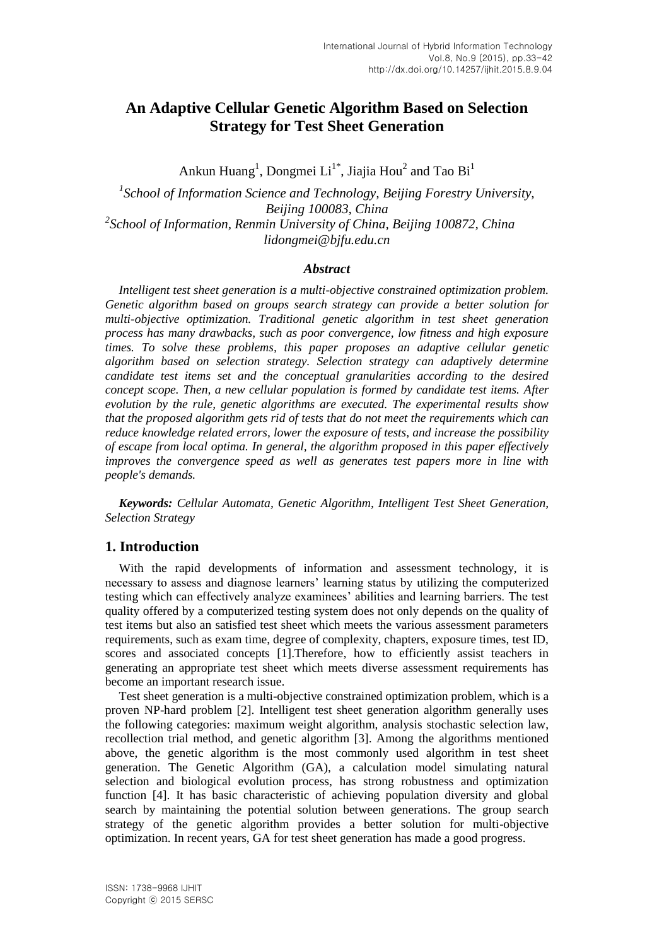# **An Adaptive Cellular Genetic Algorithm Based on Selection Strategy for Test Sheet Generation**

Ankun Huang<sup>1</sup>, Dongmei Li<sup>1\*</sup>, Jiajia Hou<sup>2</sup> and Tao Bi<sup>1</sup>

<sup>1</sup> School of Information Science and Technology, Beijing Forestry University, *Beijing 100083, China 2 School of Information, Renmin University of China, Beijing 100872, China lidongmei@bjfu.edu.cn*

#### *Abstract*

*Intelligent test sheet generation is a multi-objective constrained optimization problem. Genetic algorithm based on groups search strategy can provide a better solution for multi-objective optimization. Traditional genetic algorithm in test sheet generation process has many drawbacks, such as poor convergence, low fitness and high exposure times. To solve these problems, this paper proposes an adaptive cellular genetic algorithm based on selection strategy. Selection strategy can adaptively determine candidate test items set and the conceptual granularities according to the desired concept scope. Then, a new cellular population is formed by candidate test items. After evolution by the rule, genetic algorithms are executed. The experimental results show that the proposed algorithm gets rid of tests that do not meet the requirements which can reduce knowledge related errors, lower the exposure of tests, and increase the possibility of escape from local optima. In general, the algorithm proposed in this paper effectively improves the convergence speed as well as generates test papers more in line with people's demands.*

*Keywords: Cellular Automata, Genetic Algorithm, Intelligent Test Sheet Generation, Selection Strategy*

## **1. Introduction**

With the rapid developments of information and assessment technology, it is necessary to assess and diagnose learners' learning status by utilizing the computerized testing which can effectively analyze examinees' abilities and learning barriers. The test quality offered by a computerized testing system does not only depends on the quality of test items but also an satisfied test sheet which meets the various assessment parameters requirements, such as exam time, degree of complexity, chapters, exposure times, test ID, scores and associated concepts [1].Therefore, how to efficiently assist teachers in generating an appropriate test sheet which meets diverse assessment requirements has become an important research issue.

Test sheet generation is a multi-objective constrained optimization problem, which is a proven NP-hard problem [2]. Intelligent test sheet generation algorithm generally uses the following categories: maximum weight algorithm, analysis stochastic selection law, recollection trial method, and genetic algorithm [3]. Among the algorithms mentioned above, the genetic algorithm is the most commonly used algorithm in test sheet generation. The Genetic Algorithm (GA), a calculation model simulating natural selection and biological evolution process, has strong robustness and optimization function [4]. It has basic characteristic of achieving population diversity and global search by maintaining the potential solution between generations. The group search strategy of the genetic algorithm provides a better solution for multi-objective optimization. In recent years, GA for test sheet generation has made a good progress.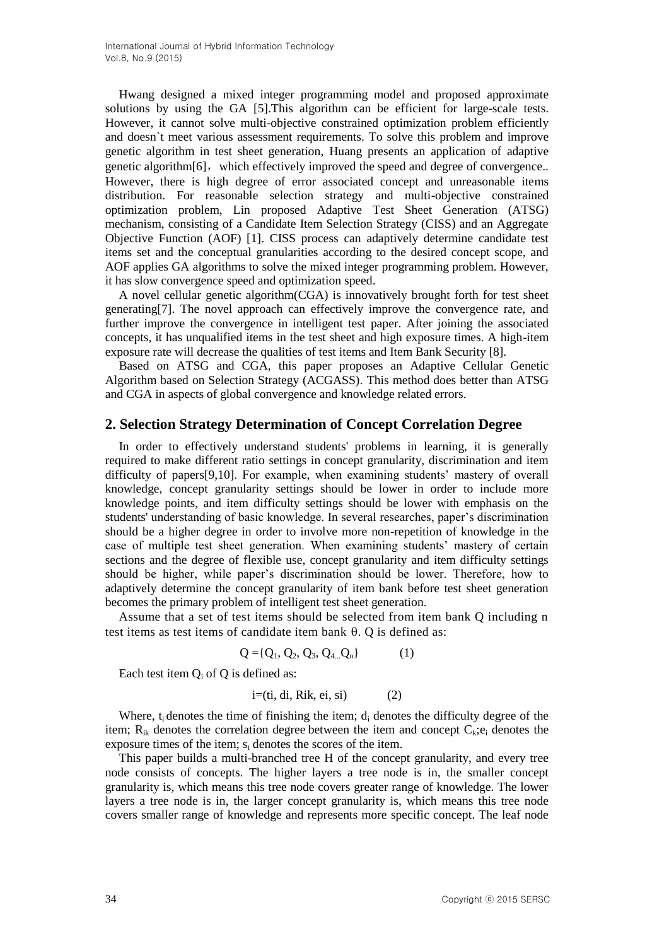Hwang designed a mixed integer programming model and proposed approximate solutions by using the GA [5].This algorithm can be efficient for large-scale tests. However, it cannot solve multi-objective constrained optimization problem efficiently and doesn`t meet various assessment requirements. To solve this problem and improve genetic algorithm in test sheet generation, Huang presents an application of adaptive genetic algorithm $[6]$ , which effectively improved the speed and degree of convergence.. However, there is high degree of error associated concept and unreasonable items distribution. For reasonable selection strategy and multi-objective constrained optimization problem, Lin proposed Adaptive Test Sheet Generation (ATSG) mechanism, consisting of a Candidate Item Selection Strategy (CISS) and an Aggregate Objective Function (AOF) [1]. CISS process can adaptively determine candidate test items set and the conceptual granularities according to the desired concept scope, and AOF applies GA algorithms to solve the mixed integer programming problem. However, it has slow convergence speed and optimization speed.

A novel cellular genetic algorithm(CGA) is innovatively brought forth for test sheet generating[7]. The novel approach can effectively improve the convergence rate, and further improve the convergence in intelligent test paper. After joining the associated concepts, it has unqualified items in the test sheet and high exposure times. A high-item exposure rate will decrease the qualities of test items and Item Bank Security [8].

Based on ATSG and CGA, this paper proposes an Adaptive Cellular Genetic Algorithm based on Selection Strategy (ACGASS). This method does better than ATSG and CGA in aspects of global convergence and knowledge related errors.

## **2. Selection Strategy Determination of Concept Correlation Degree**

In order to effectively understand students' problems in learning, it is generally required to make different ratio settings in concept granularity, discrimination and item difficulty of papers[9,10]. For example, when examining students' mastery of overall knowledge, concept granularity settings should be lower in order to include more knowledge points, and item difficulty settings should be lower with emphasis on the students' understanding of basic knowledge. In several researches, paper's discrimination should be a higher degree in order to involve more non-repetition of knowledge in the case of multiple test sheet generation. When examining students' mastery of certain sections and the degree of flexible use, concept granularity and item difficulty settings should be higher, while paper's discrimination should be lower. Therefore, how to adaptively determine the concept granularity of item bank before test sheet generation becomes the primary problem of intelligent test sheet generation.

Assume that a set of test items should be selected from item bank Q including n test items as test items of candidate item bank  $\theta$ . Q is defined as:

$$
Q = \{Q_1, Q_2, Q_3, Q_{4...}Q_n\} \tag{1}
$$

Each test item  $Q_i$  of Q is defined as:

$$
i=(ti, di, Rik, ei, si)
$$
 (2)

Where,  $t_i$  denotes the time of finishing the item;  $d_i$  denotes the difficulty degree of the item;  $R_{ik}$  denotes the correlation degree between the item and concept  $C_k$ ; e<sub>i</sub> denotes the exposure times of the item; s<sup>i</sup> denotes the scores of the item.

This paper builds a multi-branched tree H of the concept granularity, and every tree node consists of concepts. The higher layers a tree node is in, the smaller concept granularity is, which means this tree node covers greater range of knowledge. The lower layers a tree node is in, the larger concept granularity is, which means this tree node covers smaller range of knowledge and represents more specific concept. The leaf node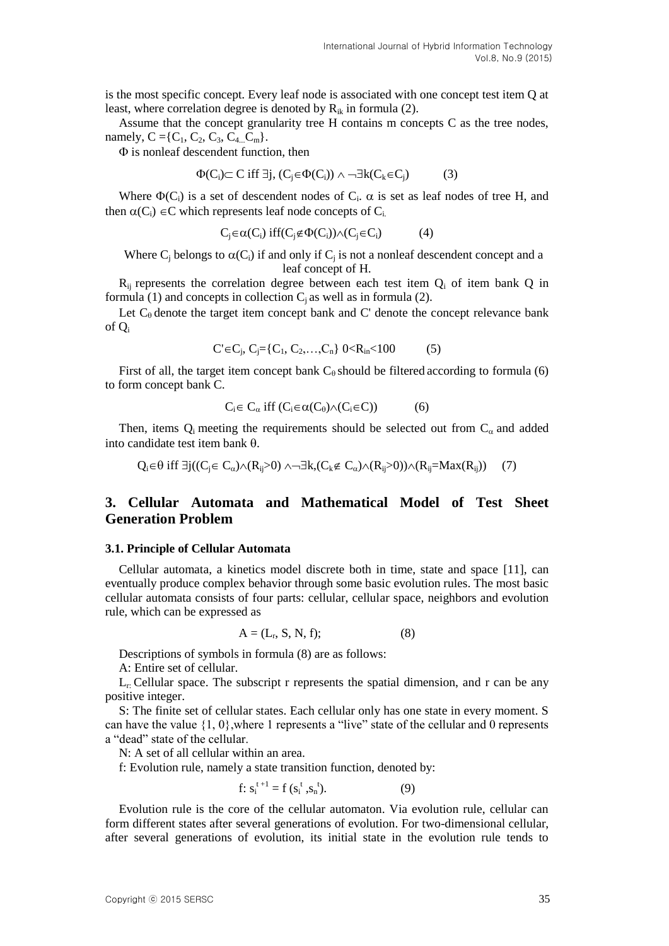is the most specific concept. Every leaf node is associated with one concept test item Q at least, where correlation degree is denoted by  $R_{ik}$  in formula (2).

Assume that the concept granularity tree H contains m concepts C as the tree nodes, namely,  $C = \{C_1, C_2, C_3, C_4, C_m\}.$ 

 $\Phi$  is nonleaf descendent function, then

$$
\Phi(C_i) \subset C \text{ iff } \exists j, (C_j \in \Phi(C_i)) \land \neg \exists k (C_k \in C_j) \tag{3}
$$

Where  $\Phi(C_i)$  is a set of descendent nodes of  $C_i$ .  $\alpha$  is set as leaf nodes of tree H, and then  $\alpha(C_i) \in \mathbb{C}$  which represents leaf node concepts of  $C_i$ .

$$
C_j \in \alpha(C_i) \text{ iff } (C_j \notin \Phi(C_i)) \wedge (C_j \in C_i) \tag{4}
$$

Where  $C_j$  belongs to  $\alpha(C_i)$  if and only if  $C_j$  is not a nonleaf descendent concept and a leaf concept of H.

 $R_{ii}$  represents the correlation degree between each test item  $Q_i$  of item bank  $Q$  in formula (1) and concepts in collection  $C_i$  as well as in formula (2).

Let  $C_{\theta}$  denote the target item concept bank and C' denote the concept relevance bank of Q<sup>i</sup>

$$
C' \in C_j, C_j = \{C_1, C_2, \dots, C_n\} \quad 0 < R_{in} < 100 \tag{5}
$$

First of all, the target item concept bank  $C_0$  should be filtered according to formula (6) to form concept bank C.

$$
C_i \in C_\alpha \text{ iff } (C_i \in \alpha(C_\theta) \wedge (C_i \in C)) \tag{6}
$$

Then, items  $Q_i$  meeting the requirements should be selected out from  $C_{\alpha}$  and added into candidate test item bank  $\theta$ .

 $Q_i \in \theta$  iff  $\exists i((C_i \in C_\alpha) \wedge (R_{ii} > 0) \wedge \neg \exists k,(C_k \notin C_\alpha) \wedge (R_{ii} > 0)) \wedge (R_{ii} = Max(R_{ii}))$  (7)

## **3. Cellular Automata and Mathematical Model of Test Sheet Generation Problem**

#### **3.1. Principle of Cellular Automata**

Cellular automata, a kinetics model discrete both in time, state and space [11], can eventually produce complex behavior through some basic evolution rules. The most basic cellular automata consists of four parts: cellular, cellular space, neighbors and evolution rule, which can be expressed as

$$
A = (L_r, S, N, f); \tag{8}
$$

Descriptions of symbols in formula (8) are as follows:

A: Entire set of cellular.

 $L_r$ : Cellular space. The subscript r represents the spatial dimension, and r can be any positive integer.

S: The finite set of cellular states. Each cellular only has one state in every moment. S can have the value  $\{1, 0\}$ , where 1 represents a "live" state of the cellular and 0 represents a "dead" state of the cellular.

N: A set of all cellular within an area.

f: Evolution rule, namely a state transition function, denoted by:

$$
f: s_i^{t+1} = f(s_i^t, s_n^t). \tag{9}
$$

Evolution rule is the core of the cellular automaton. Via evolution rule, cellular can form different states after several generations of evolution. For two-dimensional cellular, after several generations of evolution, its initial state in the evolution rule tends to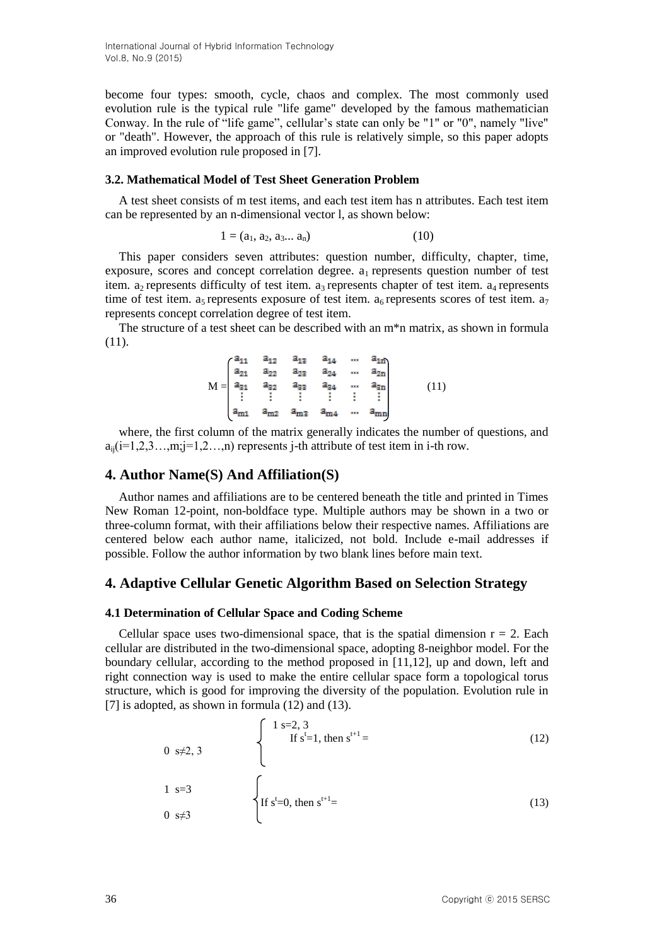International Journal of Hybrid Information Technology Vol.8, No.9 (2015)

become four types: smooth, cycle, chaos and complex. The most commonly used evolution rule is the typical rule "life game" developed by the famous mathematician Conway. In the rule of "life game", cellular's state can only be "1" or "0", namely "live" or "death". However, the approach of this rule is relatively simple, so this paper adopts an improved evolution rule proposed in [7].

#### **3.2. Mathematical Model of Test Sheet Generation Problem**

A test sheet consists of m test items, and each test item has n attributes. Each test item can be represented by an n-dimensional vector l, as shown below:

$$
1 = (a_1, a_2, a_3... a_n) \tag{10}
$$

This paper considers seven attributes: question number, difficulty, chapter, time, exposure, scores and concept correlation degree.  $a_1$  represents question number of test item.  $a_2$  represents difficulty of test item.  $a_3$  represents chapter of test item.  $a_4$  represents time of test item. a<sub>5</sub> represents exposure of test item. a<sub>6</sub> represents scores of test item. a<sub>7</sub> represents concept correlation degree of test item.

The structure of a test sheet can be described with an m\*n matrix, as shown in formula (11).

$$
M = \begin{pmatrix} a_{11} & a_{12} & a_{13} & a_{14} & \dots & a_{1n} \\ a_{21} & a_{22} & a_{23} & a_{24} & \dots & a_{2n} \\ a_{31} & a_{32} & a_{33} & a_{34} & \dots & a_{3n} \\ \vdots & \vdots & \vdots & \vdots & \vdots & \vdots \\ a_{m1} & a_{m2} & a_{m3} & a_{m4} & \dots & a_{mn} \end{pmatrix} \qquad (11)
$$

where, the first column of the matrix generally indicates the number of questions, and  $a_{ii}$ (i=1,2,3…,m;j=1,2…,n) represents j-th attribute of test item in i-th row.

### **4. Author Name(S) And Affiliation(S)**

Author names and affiliations are to be centered beneath the title and printed in Times New Roman 12-point, non-boldface type. Multiple authors may be shown in a two or three-column format, with their affiliations below their respective names. Affiliations are centered below each author name, italicized, not bold. Include e-mail addresses if possible. Follow the author information by two blank lines before main text.

### **4. Adaptive Cellular Genetic Algorithm Based on Selection Strategy**

#### **4.1 Determination of Cellular Space and Coding Scheme**

Cellular space uses two-dimensional space, that is the spatial dimension  $r = 2$ . Each cellular are distributed in the two-dimensional space, adopting 8-neighbor model. For the boundary cellular, according to the method proposed in [11,12], up and down, left and right connection way is used to make the entire cellular space form a topological torus structure, which is good for improving the diversity of the population. Evolution rule in [7] is adopted, as shown in formula (12) and (13).

$$
\begin{cases}\n1 s=2, 3 \\
\text{If } s^t=1, \text{ then } s^{t+1} = \\
1 s=3\n\end{cases}
$$
\n(12)\n  
\n
$$
\begin{cases}\n1 s=2, 3 \\
\text{If } s^t=1, \text{ then } s^{t+1} = \\
1 s^t=0, \text{ then } s^{t+1} = \n\end{cases}
$$
\n(13)

0 s $\neq$ 3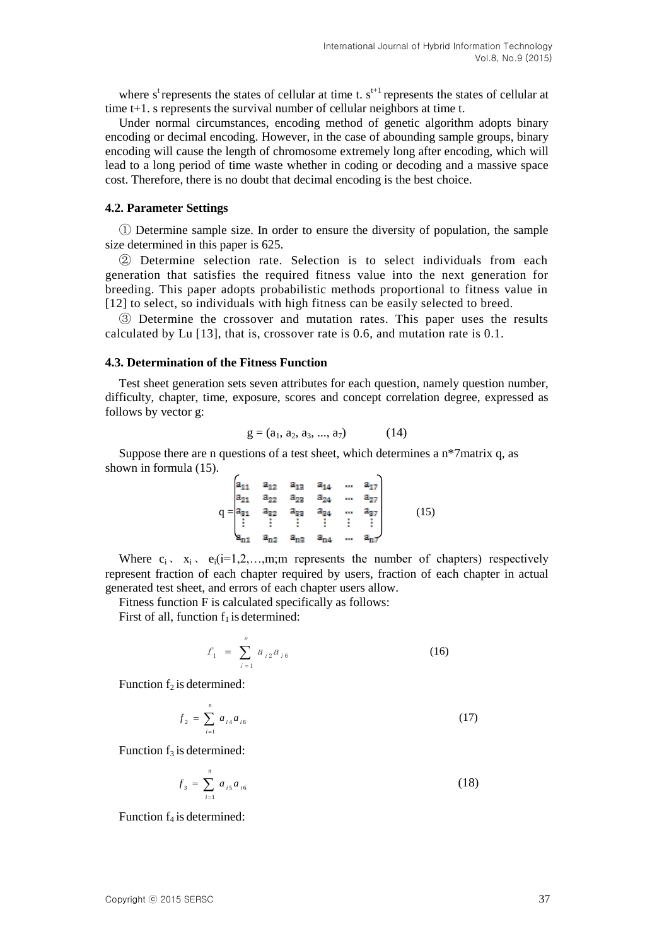where s<sup>t</sup> represents the states of cellular at time t.  $s^{t+1}$  represents the states of cellular at time t+1. s represents the survival number of cellular neighbors at time t.

Under normal circumstances, encoding method of genetic algorithm adopts binary encoding or decimal encoding. However, in the case of abounding sample groups, binary encoding will cause the length of chromosome extremely long after encoding, which will lead to a long period of time waste whether in coding or decoding and a massive space cost. Therefore, there is no doubt that decimal encoding is the best choice.

#### **4.2. Parameter Settings**

① Determine sample size. In order to ensure the diversity of population, the sample size determined in this paper is 625.

② Determine selection rate. Selection is to select individuals from each generation that satisfies the required fitness value into the next generation for breeding. This paper adopts probabilistic methods proportional to fitness value in [12] to select, so individuals with high fitness can be easily selected to breed.

③ Determine the crossover and mutation rates. This paper uses the results calculated by Lu [13], that is, crossover rate is 0.6, and mutation rate is 0.1.

#### **4.3. Determination of the Fitness Function**

Test sheet generation sets seven attributes for each question, namely question number, difficulty, chapter, time, exposure, scores and concept correlation degree, expressed as follows by vector g:

$$
g = (a_1, a_2, a_3, ..., a_7) \tag{14}
$$

Suppose there are n questions of a test sheet, which determines a  $n*7$  matrix q, as shown in formula (15).

$$
q = \begin{pmatrix} a_{11} & a_{12} & a_{13} & a_{14} & \cdots & a_{17} \\ a_{21} & a_{22} & a_{23} & a_{24} & \cdots & a_{27} \\ a_{31} & a_{32} & a_{33} & a_{34} & \cdots & a_{37} \\ \vdots & \vdots & \vdots & \vdots & \vdots & \vdots \\ a_{n1} & a_{n2} & a_{n3} & a_{n4} & \cdots & a_{n7} \end{pmatrix}
$$
 (15)

Where  $c_i$ ,  $x_i$ ,  $e_i(i=1,2,...,m)$ ; represents the number of chapters) respectively represent fraction of each chapter required by users, fraction of each chapter in actual generated test sheet, and errors of each chapter users allow.

Fitness function F is calculated specifically as follows:

First of all, function  $f_1$  is determined:

$$
f_1 = \sum_{i=1}^n a_{i2} a_{i6} \tag{16}
$$

Function  $f_2$  is determined:

$$
f_2 = \sum_{i=1}^{n} a_{i4} a_{i6} \tag{17}
$$

Function  $f_3$  is determined:

$$
f_3 = \sum_{i=1}^n a_{i5} a_{i6} \tag{18}
$$

Function  $f_4$  is determined: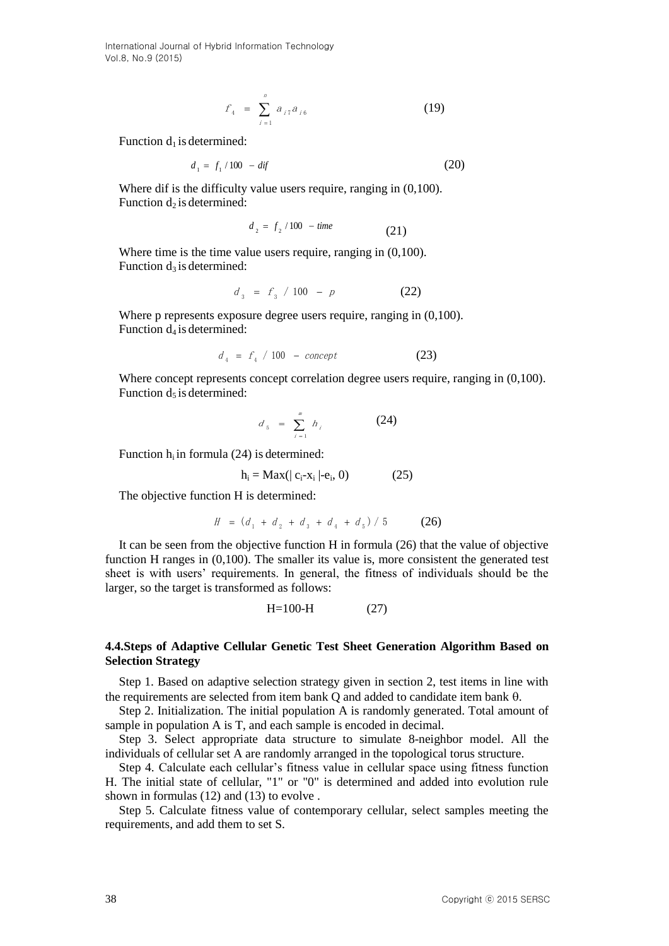International Journal of Hybrid Information Technology Vol.8, No.9 (2015)

$$
f_4 = \sum_{i=1}^n a_{i7} a_{i6} \tag{19}
$$

Function  $d_1$  is determined:

$$
d_1 = f_1 / 100 - df \tag{20}
$$

Where dif is the difficulty value users require, ranging in  $(0,100)$ . Function  $d_2$  is determined:

$$
d_2 = f_2 / 100 - time \tag{21}
$$

Where time is the time value users require, ranging in  $(0,100)$ . Function  $d_3$  is determined:

$$
d_{3} = f_{3} / 100 - p \tag{22}
$$

Where p represents exposure degree users require, ranging in  $(0,100)$ . Function  $d_4$  is determined:

$$
d_4 = f_4 / 100 - concept \tag{23}
$$

Where concept represents concept correlation degree users require, ranging in  $(0,100)$ . Function  $d_5$  is determined:

$$
d_{5} = \sum_{i=1}^{m} h_{i}
$$
 (24)

Function  $h_i$  in formula (24) is determined:

$$
h_i = Max(|c_i - x_i| - e_i, 0)
$$
 (25)

The objective function H is determined:

$$
H = (d_1 + d_2 + d_3 + d_4 + d_5) / 5 \tag{26}
$$

It can be seen from the objective function H in formula (26) that the value of objective function H ranges in  $(0,100)$ . The smaller its value is, more consistent the generated test sheet is with users' requirements. In general, the fitness of individuals should be the larger, so the target is transformed as follows:

$$
H=100-H \tag{27}
$$

#### **4.4.Steps of Adaptive Cellular Genetic Test Sheet Generation Algorithm Based on Selection Strategy**

Step 1. Based on adaptive selection strategy given in section 2, test items in line with the requirements are selected from item bank  $O$  and added to candidate item bank  $\theta$ .

Step 2. Initialization. The initial population A is randomly generated. Total amount of sample in population A is T, and each sample is encoded in decimal.

Step 3. Select appropriate data structure to simulate 8-neighbor model. All the individuals of cellular set A are randomly arranged in the topological torus structure.

Step 4. Calculate each cellular's fitness value in cellular space using fitness function H. The initial state of cellular, "1" or "0" is determined and added into evolution rule shown in formulas (12) and (13) to evolve .

Step 5. Calculate fitness value of contemporary cellular, select samples meeting the requirements, and add them to set S.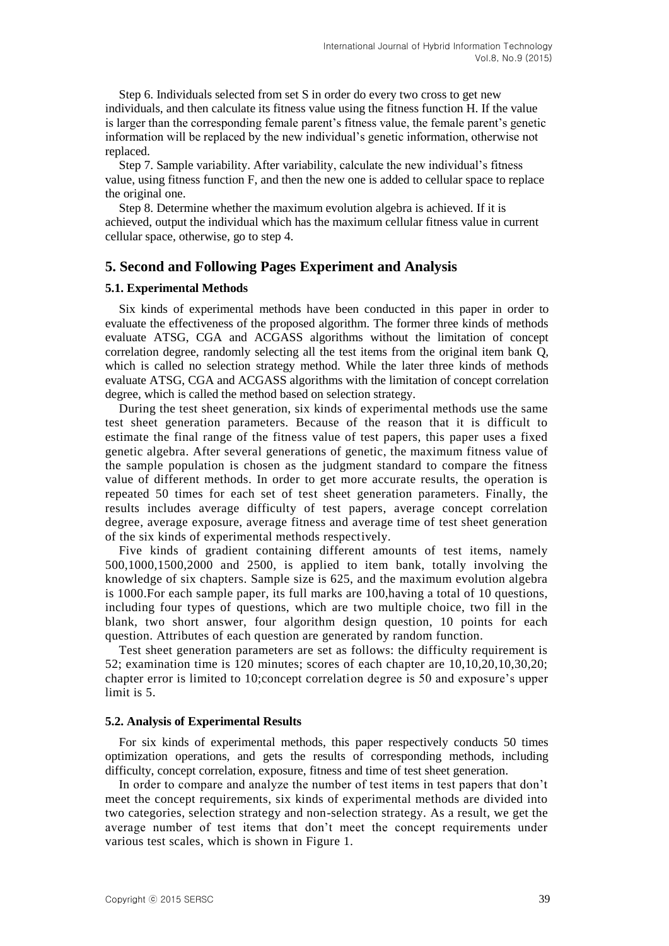Step 6. Individuals selected from set S in order do every two cross to get new individuals, and then calculate its fitness value using the fitness function H. If the value is larger than the corresponding female parent's fitness value, the female parent's genetic information will be replaced by the new individual's genetic information, otherwise not replaced.

Step 7. Sample variability. After variability, calculate the new individual's fitness value, using fitness function F, and then the new one is added to cellular space to replace the original one.

Step 8. Determine whether the maximum evolution algebra is achieved. If it is achieved, output the individual which has the maximum cellular fitness value in current cellular space, otherwise, go to step 4.

## **5. Second and Following Pages Experiment and Analysis**

#### **5.1. Experimental Methods**

Six kinds of experimental methods have been conducted in this paper in order to evaluate the effectiveness of the proposed algorithm. The former three kinds of methods evaluate ATSG, CGA and ACGASS algorithms without the limitation of concept correlation degree, randomly selecting all the test items from the original item bank Q, which is called no selection strategy method. While the later three kinds of methods evaluate ATSG, CGA and ACGASS algorithms with the limitation of concept correlation degree, which is called the method based on selection strategy.

During the test sheet generation, six kinds of experimental methods use the same test sheet generation parameters. Because of the reason that it is difficult to estimate the final range of the fitness value of test papers, this paper uses a fixed genetic algebra. After several generations of genetic, the maximum fitness value of the sample population is chosen as the judgment standard to compare the fitness value of different methods. In order to get more accurate results, the operation is repeated 50 times for each set of test sheet generation parameters. Finally, the results includes average difficulty of test papers, average concept correlation degree, average exposure, average fitness and average time of test sheet generation of the six kinds of experimental methods respectively.

Five kinds of gradient containing different amounts of test items, namely 500,1000,1500,2000 and 2500, is applied to item bank, totally involving the knowledge of six chapters. Sample size is 625, and the maximum evolution algebra is 1000.For each sample paper, its full marks are 100,having a total of 10 questions, including four types of questions, which are two multiple choice, two fill in the blank, two short answer, four algorithm design question, 10 points for each question. Attributes of each question are generated by random function.

Test sheet generation parameters are set as follows: the difficulty requirement is 52; examination time is 120 minutes; scores of each chapter are 10,10,20,10,30,20; chapter error is limited to 10;concept correlation degree is 50 and exposure's upper limit is 5.

#### **5.2. Analysis of Experimental Results**

For six kinds of experimental methods, this paper respectively conducts 50 times optimization operations, and gets the results of corresponding methods, including difficulty, concept correlation, exposure, fitness and time of test sheet generation.

In order to compare and analyze the number of test items in test papers that don't meet the concept requirements, six kinds of experimental methods are divided into two categories, selection strategy and non-selection strategy. As a result, we get the average number of test items that don't meet the concept requirements under various test scales, which is shown in Figure 1.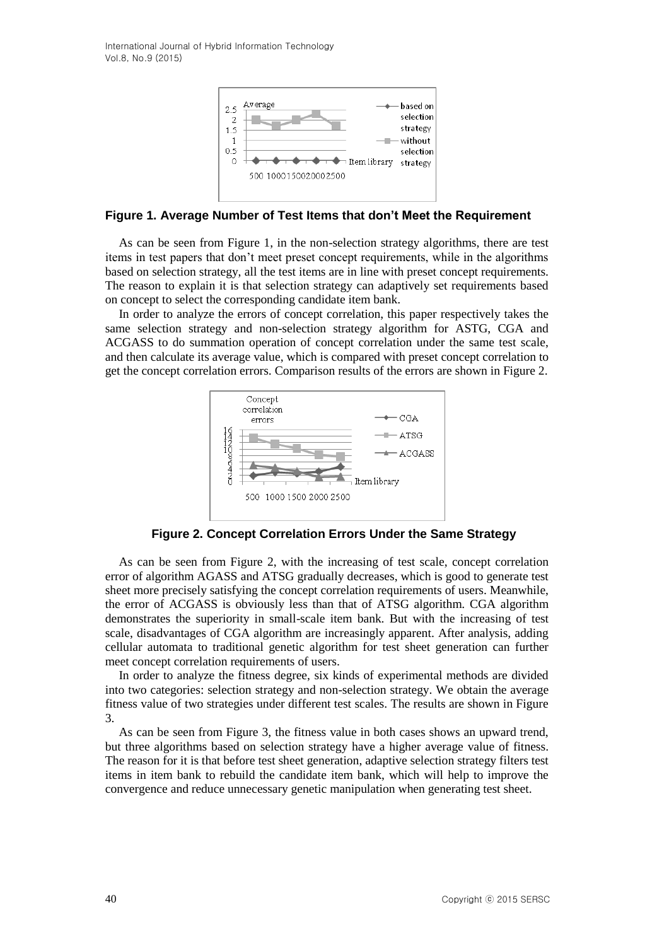International Journal of Hybrid Information Technology Vol.8, No.9 (2015)



### **Figure 1. Average Number of Test Items that don't Meet the Requirement**

As can be seen from Figure 1, in the non-selection strategy algorithms, there are test items in test papers that don't meet preset concept requirements, while in the algorithms based on selection strategy, all the test items are in line with preset concept requirements. The reason to explain it is that selection strategy can adaptively set requirements based on concept to select the corresponding candidate item bank.

In order to analyze the errors of concept correlation, this paper respectively takes the same selection strategy and non-selection strategy algorithm for ASTG, CGA and ACGASS to do summation operation of concept correlation under the same test scale, and then calculate its average value, which is compared with preset concept correlation to get the concept correlation errors. Comparison results of the errors are shown in Figure 2.



**Figure 2. Concept Correlation Errors Under the Same Strategy**

As can be seen from Figure 2, with the increasing of test scale, concept correlation error of algorithm AGASS and ATSG gradually decreases, which is good to generate test sheet more precisely satisfying the concept correlation requirements of users. Meanwhile, the error of ACGASS is obviously less than that of ATSG algorithm. CGA algorithm demonstrates the superiority in small-scale item bank. But with the increasing of test scale, disadvantages of CGA algorithm are increasingly apparent. After analysis, adding cellular automata to traditional genetic algorithm for test sheet generation can further meet concept correlation requirements of users.

In order to analyze the fitness degree, six kinds of experimental methods are divided into two categories: selection strategy and non-selection strategy. We obtain the average fitness value of two strategies under different test scales. The results are shown in Figure 3.

As can be seen from Figure 3, the fitness value in both cases shows an upward trend, but three algorithms based on selection strategy have a higher average value of fitness. The reason for it is that before test sheet generation, adaptive selection strategy filters test items in item bank to rebuild the candidate item bank, which will help to improve the convergence and reduce unnecessary genetic manipulation when generating test sheet.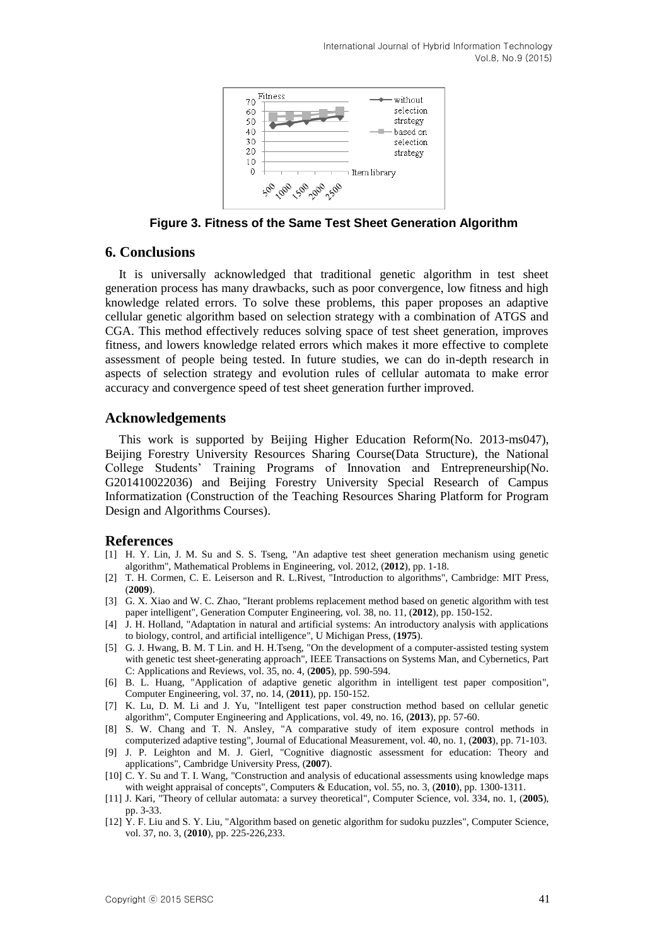

**Figure 3. Fitness of the Same Test Sheet Generation Algorithm**

## **6. Conclusions**

It is universally acknowledged that traditional genetic algorithm in test sheet generation process has many drawbacks, such as poor convergence, low fitness and high knowledge related errors. To solve these problems, this paper proposes an adaptive cellular genetic algorithm based on selection strategy with a combination of ATGS and CGA. This method effectively reduces solving space of test sheet generation, improves fitness, and lowers knowledge related errors which makes it more effective to complete assessment of people being tested. In future studies, we can do in-depth research in aspects of selection strategy and evolution rules of cellular automata to make error accuracy and convergence speed of test sheet generation further improved.

## **Acknowledgements**

This work is supported by Beijing Higher Education Reform(No. 2013-ms047), Beijing Forestry University Resources Sharing Course(Data Structure), the National College Students' Training Programs of Innovation and Entrepreneurship(No. G201410022036) and Beijing Forestry University Special Research of Campus Informatization (Construction of the Teaching Resources Sharing Platform for Program Design and Algorithms Courses).

### **References**

- [1] H. Y. Lin, J. M. Su and S. S. Tseng, "An adaptive test sheet generation mechanism using genetic algorithm", Mathematical Problems in Engineering, vol. 2012, (**2012**), pp. 1-18.
- [2] T. H. Cormen, C. E. Leiserson and R. L.Rivest, "Introduction to algorithms", Cambridge: MIT Press, (**2009**).
- [3] G. X. Xiao and W. C. Zhao, "Iterant problems replacement method based on genetic algorithm with test paper intelligent", Generation Computer Engineering, vol. 38, no. 11, (**2012**), pp. 150-152.
- [4] J. H. Holland, "Adaptation in natural and artificial systems: An introductory analysis with applications to biology, control, and artificial intelligence", U Michigan Press, (**1975**).
- [5] G. J. Hwang, B. M. T Lin. and H. H.Tseng, "On the development of a computer-assisted testing system with genetic test sheet-generating approach", IEEE Transactions on Systems Man, and Cybernetics, Part C: Applications and Reviews, vol. 35, no. 4, (**2005**), pp. 590-594.
- [6] B. L. Huang, "Application of adaptive genetic algorithm in intelligent test paper composition", Computer Engineering, vol. 37, no. 14, (**2011**), pp. 150-152.
- [7] K. Lu, D. M. Li and J. Yu, "Intelligent test paper construction method based on cellular genetic algorithm", Computer Engineering and Applications, vol. 49, no. 16, (**2013**), pp. 57-60.
- [8] S. W. Chang and T. N. Ansley, "A comparative study of item exposure control methods in computerized adaptive testing", Journal of Educational Measurement, vol. 40, no. 1, (**2003**), pp. 71-103.
- [9] J. P. Leighton and M. J. Gierl, "Cognitive diagnostic assessment for education: Theory and applications", Cambridge University Press, (**2007**).
- [10] C. Y. Su and T. I. Wang, "Construction and analysis of educational assessments using knowledge maps with weight appraisal of concepts", Computers & Education, vol. 55, no. 3, (**2010**), pp. 1300-1311.
- [11] J. Kari, "Theory of cellular automata: a survey theoretical", Computer Science, vol. 334, no. 1, (**2005**), pp. 3-33.
- [12] Y. F. Liu and S. Y. Liu, "Algorithm based on genetic algorithm for sudoku puzzles", Computer Science, vol. 37, no. 3, (**2010**), pp. 225-226,233.